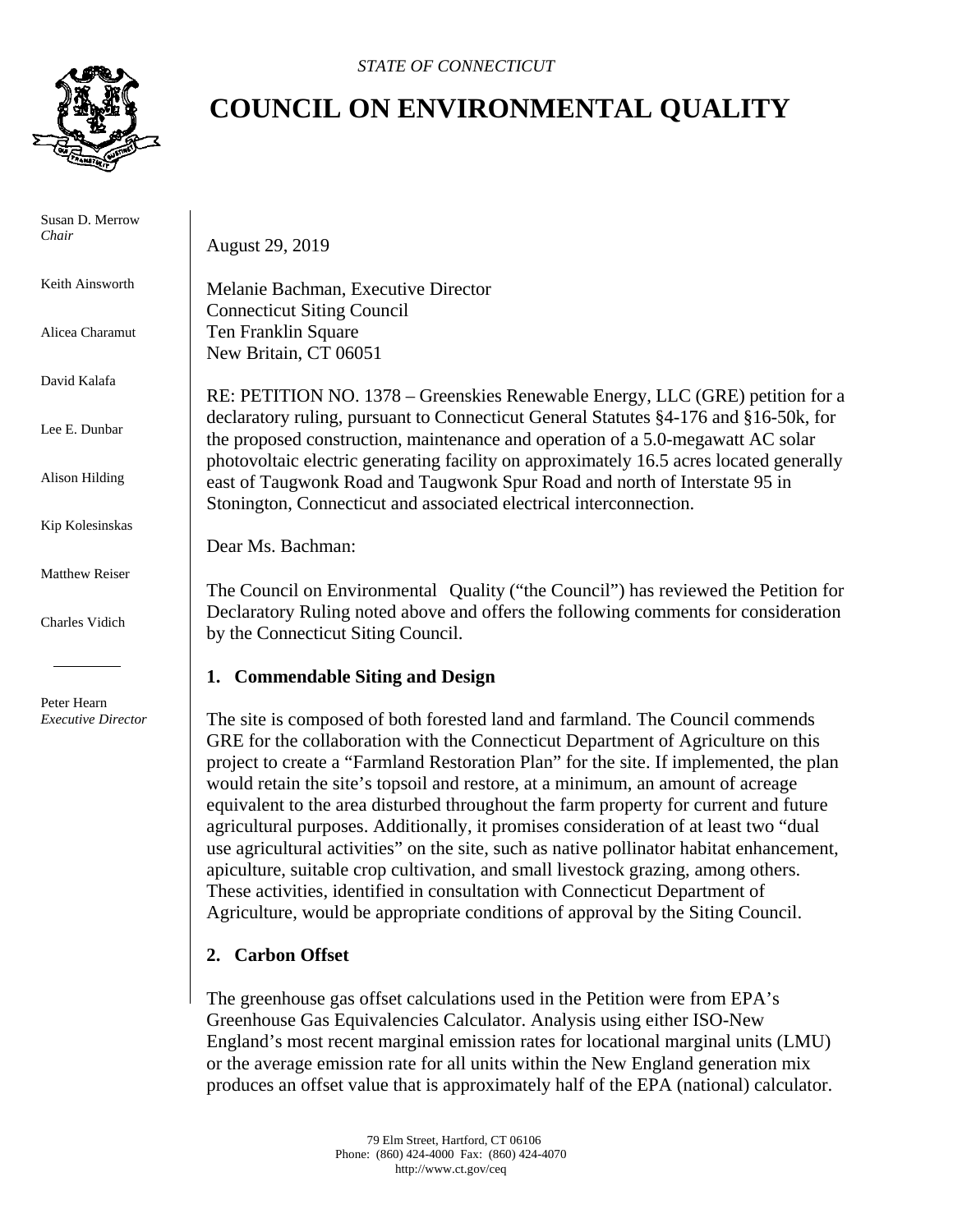

 Susan D. Merrow *Chair* 

Keith Ainsworth

Alicea Charamut

David Kalafa

Lee E. Dunbar

Alison Hilding

Kip Kolesinskas

Matthew Reiser

Charles Vidich

 Peter Hearn  *Executive Director*

## **COUNCIL ON ENVIRONMENTAL QUALITY**

August 29, 2019

Melanie Bachman, Executive Director Connecticut Siting Council Ten Franklin Square New Britain, CT 06051

RE: PETITION NO. 1378 – Greenskies Renewable Energy, LLC (GRE) petition for a declaratory ruling, pursuant to Connecticut General Statutes §4-176 and §16-50k, for the proposed construction, maintenance and operation of a 5.0-megawatt AC solar photovoltaic electric generating facility on approximately 16.5 acres located generally east of Taugwonk Road and Taugwonk Spur Road and north of Interstate 95 in Stonington, Connecticut and associated electrical interconnection.

Dear Ms. Bachman:

The Council on Environmental Quality ("the Council") has reviewed the Petition for Declaratory Ruling noted above and offers the following comments for consideration by the Connecticut Siting Council.

## **1. Commendable Siting and Design**

The site is composed of both forested land and farmland. The Council commends GRE for the collaboration with the Connecticut Department of Agriculture on this project to create a "Farmland Restoration Plan" for the site. If implemented, the plan would retain the site's topsoil and restore, at a minimum, an amount of acreage equivalent to the area disturbed throughout the farm property for current and future agricultural purposes. Additionally, it promises consideration of at least two "dual use agricultural activities" on the site, such as native pollinator habitat enhancement, apiculture, suitable crop cultivation, and small livestock grazing, among others. These activities, identified in consultation with Connecticut Department of Agriculture, would be appropriate conditions of approval by the Siting Council.

## **2. Carbon Offset**

The greenhouse gas offset calculations used in the Petition were from EPA's Greenhouse Gas Equivalencies Calculator. Analysis using either ISO-New England's most recent marginal emission rates for locational marginal units (LMU) or the average emission rate for all units within the New England generation mix produces an offset value that is approximately half of the EPA (national) calculator.